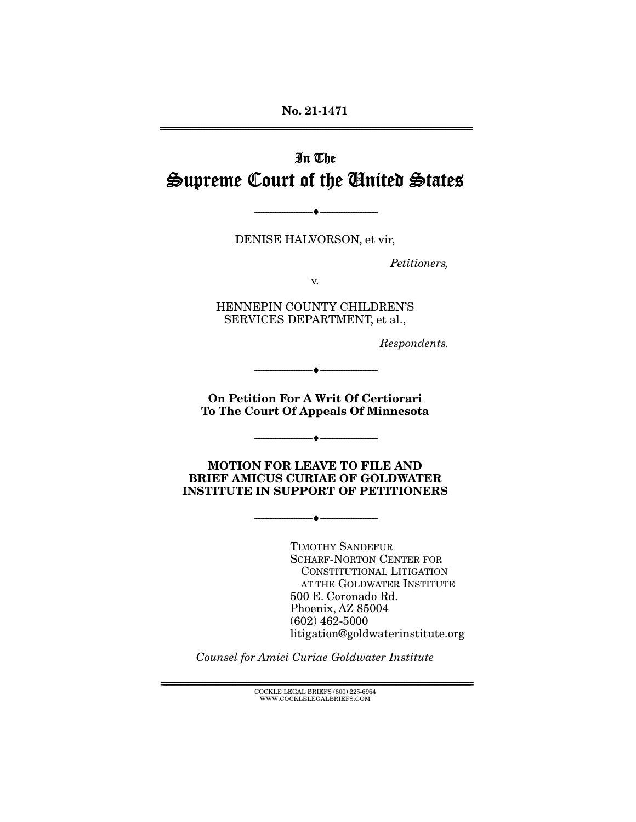**No. 21-1471**  ================================================================================================================

# In The Supreme Court of the United States

DENISE HALVORSON, et vir,

--------------------------------- ♦ ---------------------------------

Petitioners,

v.

HENNEPIN COUNTY CHILDREN'S SERVICES DEPARTMENT, et al.,

Respondents.

**On Petition For A Writ Of Certiorari To The Court Of Appeals Of Minnesota** 

--------------------------------- ♦ ---------------------------------

--------------------------------- ♦ ---------------------------------

**MOTION FOR LEAVE TO FILE AND BRIEF AMICUS CURIAE OF GOLDWATER INSTITUTE IN SUPPORT OF PETITIONERS**

--------------------------------- ♦ ---------------------------------

TIMOTHY SANDEFUR SCHARF-NORTON CENTER FOR CONSTITUTIONAL LITIGATION AT THE GOLDWATER INSTITUTE 500 E. Coronado Rd. Phoenix, AZ 85004 (602) 462-5000 litigation@goldwaterinstitute.org

Counsel for Amici Curiae Goldwater Institute

 ${ \rm COCKLE}$  LEGAL BRIEFS (800) 225-6964 WWW.COCKLELEGALBRIEFS.COM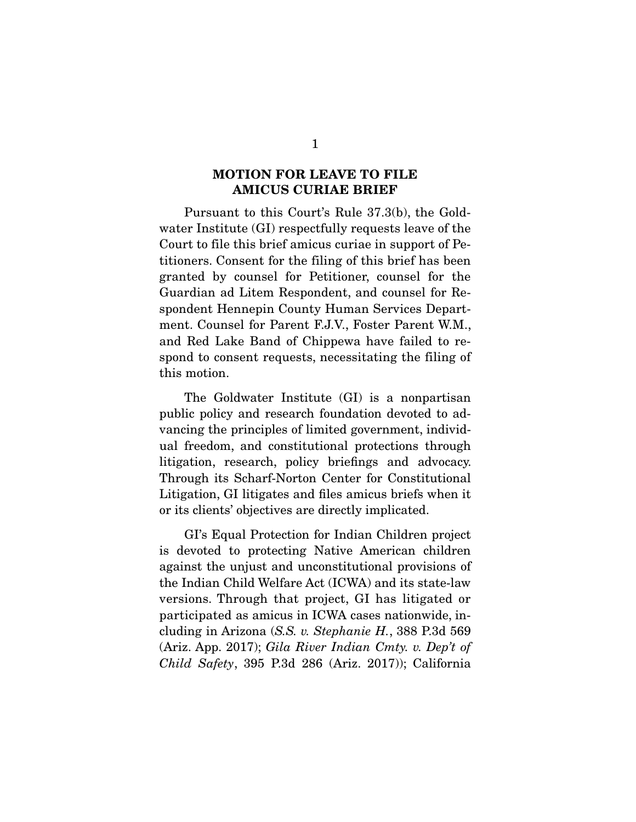#### **MOTION FOR LEAVE TO FILE AMICUS CURIAE BRIEF**

 Pursuant to this Court's Rule 37.3(b), the Goldwater Institute (GI) respectfully requests leave of the Court to file this brief amicus curiae in support of Petitioners. Consent for the filing of this brief has been granted by counsel for Petitioner, counsel for the Guardian ad Litem Respondent, and counsel for Respondent Hennepin County Human Services Department. Counsel for Parent F.J.V., Foster Parent W.M., and Red Lake Band of Chippewa have failed to respond to consent requests, necessitating the filing of this motion.

 The Goldwater Institute (GI) is a nonpartisan public policy and research foundation devoted to advancing the principles of limited government, individual freedom, and constitutional protections through litigation, research, policy briefings and advocacy. Through its Scharf-Norton Center for Constitutional Litigation, GI litigates and files amicus briefs when it or its clients' objectives are directly implicated.

 GI's Equal Protection for Indian Children project is devoted to protecting Native American children against the unjust and unconstitutional provisions of the Indian Child Welfare Act (ICWA) and its state-law versions. Through that project, GI has litigated or participated as amicus in ICWA cases nationwide, including in Arizona (S.S. v. Stephanie H., 388 P.3d 569 (Ariz. App. 2017); Gila River Indian Cmty. v. Dep't of Child Safety, 395 P.3d 286 (Ariz. 2017)); California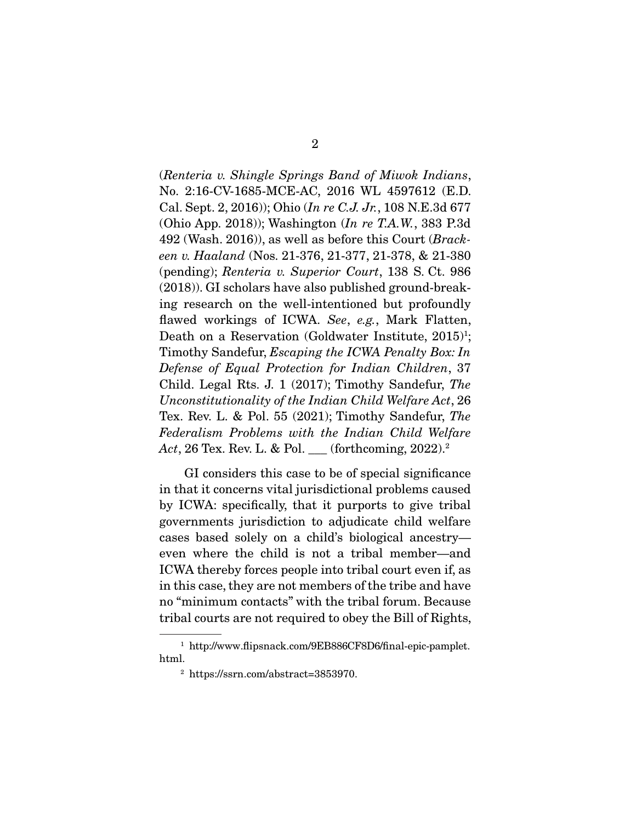(Renteria v. Shingle Springs Band of Miwok Indians, No. 2:16-CV-1685-MCE-AC, 2016 WL 4597612 (E.D. Cal. Sept. 2, 2016)); Ohio (In re C.J. Jr., 108 N.E.3d 677 (Ohio App. 2018)); Washington (In re T.A.W., 383 P.3d 492 (Wash. 2016)), as well as before this Court (Brackeen v. Haaland (Nos. 21-376, 21-377, 21-378, & 21-380 (pending); Renteria v. Superior Court, 138 S. Ct. 986 (2018)). GI scholars have also published ground-breaking research on the well-intentioned but profoundly flawed workings of ICWA. See, e.g., Mark Flatten, Death on a Reservation (Goldwater Institute, 2015)<sup>1</sup>; Timothy Sandefur, Escaping the ICWA Penalty Box: In Defense of Equal Protection for Indian Children, 37 Child. Legal Rts. J. 1 (2017); Timothy Sandefur, The Unconstitutionality of the Indian Child Welfare Act, 26 Tex. Rev. L. & Pol. 55 (2021); Timothy Sandefur, The Federalism Problems with the Indian Child Welfare Act, 26 Tex. Rev. L. & Pol. \_\_ (forthcoming, 2022).<sup>2</sup>

 GI considers this case to be of special significance in that it concerns vital jurisdictional problems caused by ICWA: specifically, that it purports to give tribal governments jurisdiction to adjudicate child welfare cases based solely on a child's biological ancestry even where the child is not a tribal member—and ICWA thereby forces people into tribal court even if, as in this case, they are not members of the tribe and have no "minimum contacts" with the tribal forum. Because tribal courts are not required to obey the Bill of Rights,

<sup>1</sup> http://www.flipsnack.com/9EB886CF8D6/final-epic-pamplet. html.

<sup>2</sup> https://ssrn.com/abstract=3853970.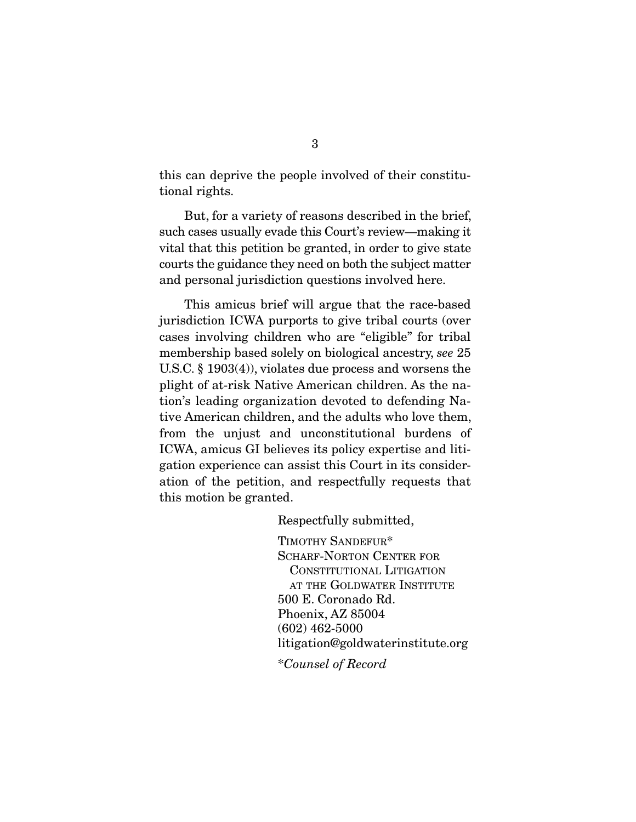this can deprive the people involved of their constitutional rights.

 But, for a variety of reasons described in the brief, such cases usually evade this Court's review—making it vital that this petition be granted, in order to give state courts the guidance they need on both the subject matter and personal jurisdiction questions involved here.

 This amicus brief will argue that the race-based jurisdiction ICWA purports to give tribal courts (over cases involving children who are "eligible" for tribal membership based solely on biological ancestry, see 25 U.S.C. § 1903(4)), violates due process and worsens the plight of at-risk Native American children. As the nation's leading organization devoted to defending Native American children, and the adults who love them, from the unjust and unconstitutional burdens of ICWA, amicus GI believes its policy expertise and litigation experience can assist this Court in its consideration of the petition, and respectfully requests that this motion be granted.

Respectfully submitted,

TIMOTHY SANDEFUR\* SCHARF-NORTON CENTER FOR CONSTITUTIONAL LITIGATION AT THE GOLDWATER INSTITUTE 500 E. Coronado Rd. Phoenix, AZ 85004 (602) 462-5000 litigation@goldwaterinstitute.org \*Counsel of Record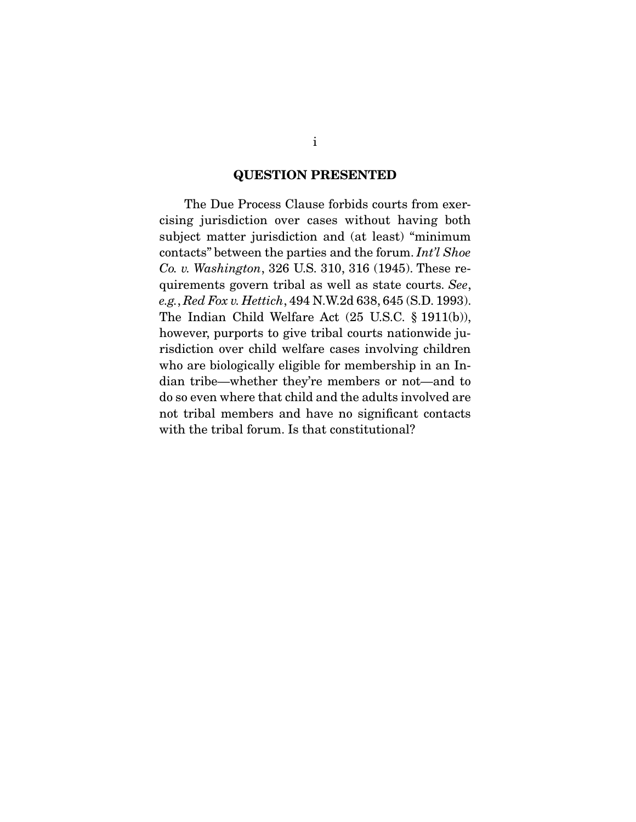#### **QUESTION PRESENTED**

 The Due Process Clause forbids courts from exercising jurisdiction over cases without having both subject matter jurisdiction and (at least) "minimum contacts" between the parties and the forum. Int'l Shoe Co. v. Washington, 326 U.S. 310, 316 (1945). These requirements govern tribal as well as state courts. See, e.g., Red Fox v. Hettich, 494 N.W.2d 638, 645 (S.D. 1993). The Indian Child Welfare Act (25 U.S.C. § 1911(b)), however, purports to give tribal courts nationwide jurisdiction over child welfare cases involving children who are biologically eligible for membership in an Indian tribe—whether they're members or not—and to do so even where that child and the adults involved are not tribal members and have no significant contacts with the tribal forum. Is that constitutional?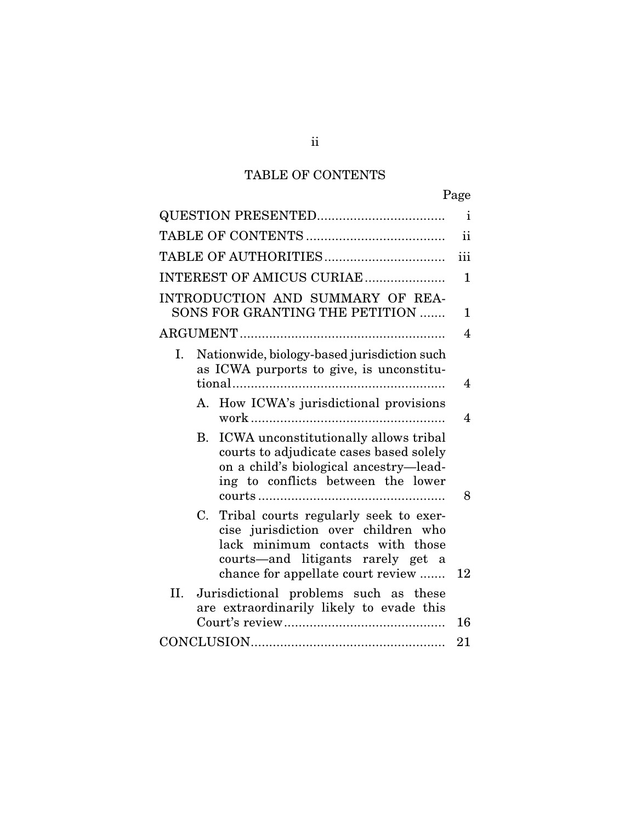## TABLE OF CONTENTS

| Page                                                                                                                                                                                                   |                |  |  |
|--------------------------------------------------------------------------------------------------------------------------------------------------------------------------------------------------------|----------------|--|--|
|                                                                                                                                                                                                        |                |  |  |
|                                                                                                                                                                                                        |                |  |  |
| iii                                                                                                                                                                                                    |                |  |  |
| INTEREST OF AMICUS CURIAE                                                                                                                                                                              | $\mathbf{1}$   |  |  |
| INTRODUCTION AND SUMMARY OF REA-<br>SONS FOR GRANTING THE PETITION                                                                                                                                     | $\mathbf{1}$   |  |  |
|                                                                                                                                                                                                        | $\overline{4}$ |  |  |
| Nationwide, biology-based jurisdiction such<br>Ι.<br>as ICWA purports to give, is unconstitu-                                                                                                          | 4              |  |  |
| How ICWA's jurisdictional provisions<br>A.                                                                                                                                                             | 4              |  |  |
| ICWA unconstitutionally allows tribal<br><b>B.</b><br>courts to adjudicate cases based solely<br>on a child's biological ancestry-lead-<br>ing to conflicts between the lower                          | 8              |  |  |
| Tribal courts regularly seek to exer-<br>C.<br>cise jurisdiction over children who<br>lack minimum contacts with those<br>courts—and litigants rarely get a<br>chance for appellate court review<br>12 |                |  |  |
| II.<br>Jurisdictional problems such as these<br>are extraordinarily likely to evade this<br>16                                                                                                         |                |  |  |
| 21                                                                                                                                                                                                     |                |  |  |

ii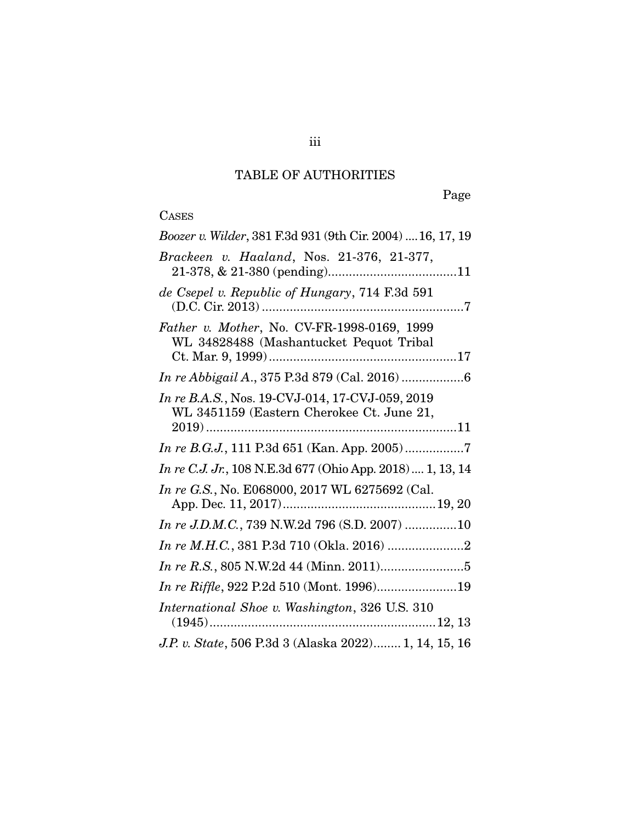## TABLE OF AUTHORITIES

Page

### CASES

| Boozer v. Wilder, 381 F.3d 931 (9th Cir. 2004)  16, 17, 19                                   |
|----------------------------------------------------------------------------------------------|
| Brackeen v. Haaland, Nos. 21-376, 21-377,                                                    |
| de Csepel v. Republic of Hungary, 714 F.3d 591                                               |
| Father v. Mother, No. CV-FR-1998-0169, 1999<br>WL 34828488 (Mashantucket Pequot Tribal       |
|                                                                                              |
| In re B.A.S., Nos. 19-CVJ-014, 17-CVJ-059, 2019<br>WL 3451159 (Eastern Cherokee Ct. June 21, |
|                                                                                              |
| <i>In re C.J. Jr.</i> , 108 N.E.3d 677 (Ohio App. 2018)  1, 13, 14                           |
|                                                                                              |
| In re G.S., No. E068000, 2017 WL 6275692 (Cal.                                               |
| In re J.D.M.C., 739 N.W.2d 796 (S.D. 2007) 10                                                |
|                                                                                              |
|                                                                                              |
| In re Riffle, 922 P.2d 510 (Mont. 1996)19                                                    |
| International Shoe v. Washington, 326 U.S. 310                                               |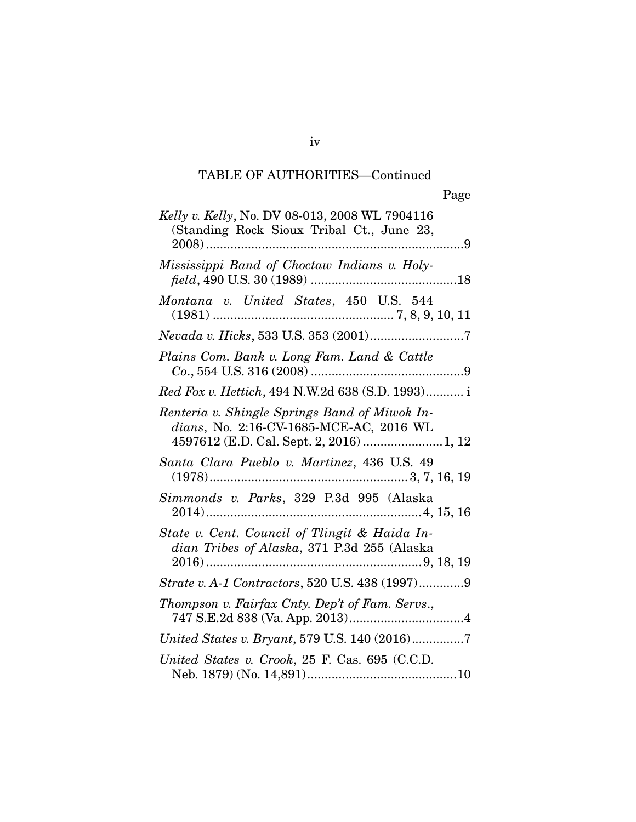## TABLE OF AUTHORITIES—Continued

| Kelly v. Kelly, No. DV 08-013, 2008 WL 7904116<br>(Standing Rock Sioux Tribal Ct., June 23,                                          |
|--------------------------------------------------------------------------------------------------------------------------------------|
|                                                                                                                                      |
| Mississippi Band of Choctaw Indians v. Holy-                                                                                         |
| Montana v. United States, 450 U.S. 544                                                                                               |
|                                                                                                                                      |
| Plains Com. Bank v. Long Fam. Land & Cattle                                                                                          |
| Red Fox v. Hettich, 494 N.W.2d 638 (S.D. 1993) i                                                                                     |
| Renteria v. Shingle Springs Band of Miwok In-<br>dians, No. 2:16-CV-1685-MCE-AC, 2016 WL<br>4597612 (E.D. Cal. Sept. 2, 2016)  1, 12 |
| Santa Clara Pueblo v. Martinez, 436 U.S. 49                                                                                          |
| Simmonds v. Parks, 329 P.3d 995 (Alaska                                                                                              |
| State v. Cent. Council of Tlingit & Haida In-<br>dian Tribes of Alaska, 371 P.3d 255 (Alaska                                         |
| Strate v. A-1 Contractors, 520 U.S. 438 (1997)9                                                                                      |
| Thompson v. Fairfax Cnty. Dep't of Fam. Servs.,                                                                                      |
| United States v. Bryant, 579 U.S. 140 (2016)7                                                                                        |
| United States v. Crook, 25 F. Cas. 695 (C.C.D.                                                                                       |

iv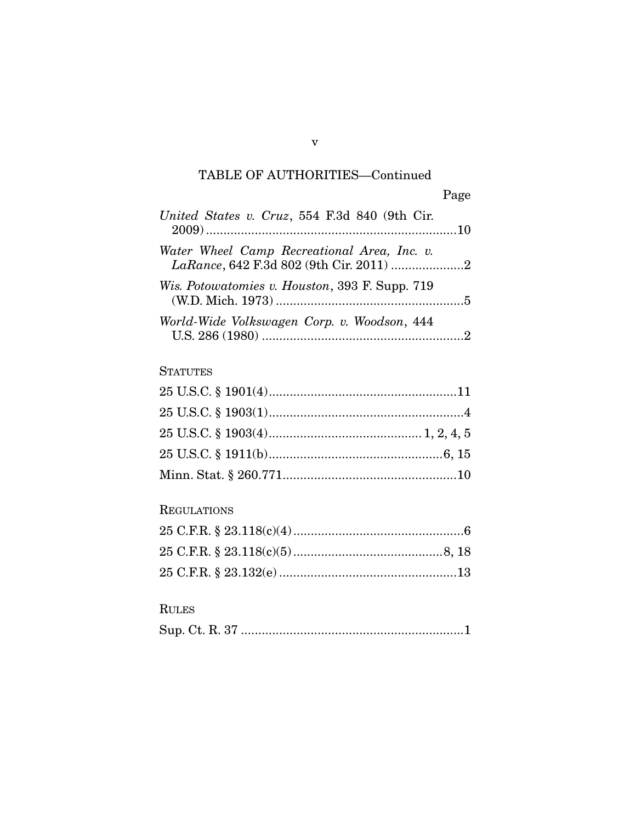## TABLE OF AUTHORITIES—Continued

| United States v. Cruz, 554 F.3d 840 (9th Cir.         |  |
|-------------------------------------------------------|--|
| Water Wheel Camp Recreational Area, Inc. v.           |  |
| <i>Wis. Potowatomies v. Houston, 393 F. Supp. 719</i> |  |
| World-Wide Volkswagen Corp. v. Woodson, 444           |  |

### **STATUTES**

### REGULATIONS

### RULES

|--|--|--|--|--|

v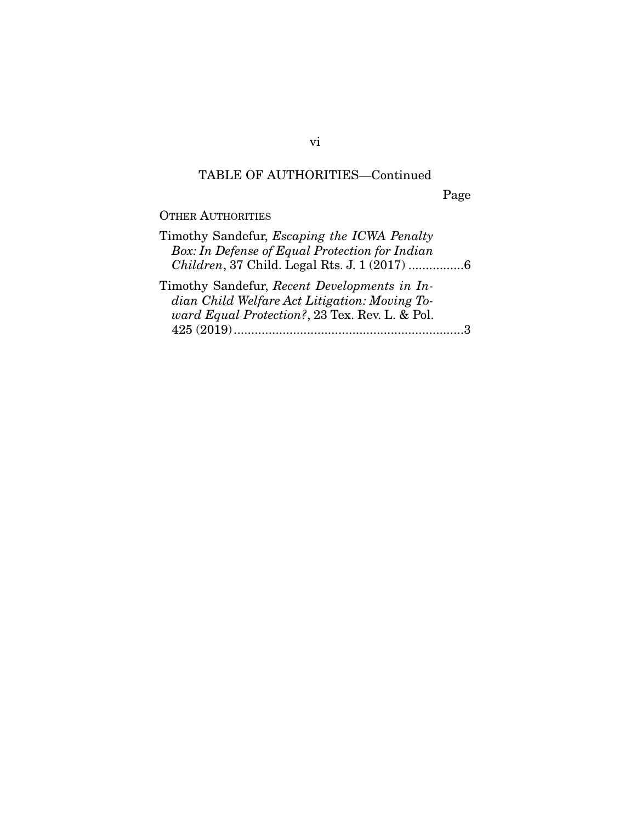## TABLE OF AUTHORITIES—Continued

Page

OTHER AUTHORITIES

| Timothy Sandefur, <i>Escaping the ICWA Penalty</i> |
|----------------------------------------------------|
| Box: In Defense of Equal Protection for Indian     |
| Children, 37 Child. Legal Rts. J. 1 (2017) 6       |
| Timothy Sandefur, Recent Developments in In-       |
| dian Child Welfare Act Litigation: Moving To-      |
| ward Equal Protection?, 23 Tex. Rev. L. & Pol.     |
|                                                    |
|                                                    |

vi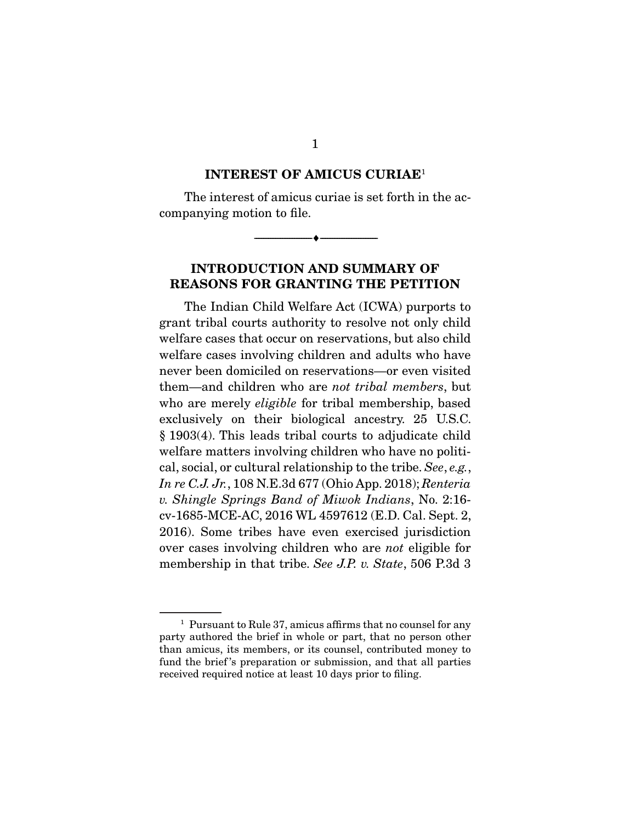#### **INTEREST OF AMICUS CURIAE**<sup>1</sup>

 The interest of amicus curiae is set forth in the accompanying motion to file.

--------------------------------- ♦ ---------------------------------

#### **INTRODUCTION AND SUMMARY OF REASONS FOR GRANTING THE PETITION**

 The Indian Child Welfare Act (ICWA) purports to grant tribal courts authority to resolve not only child welfare cases that occur on reservations, but also child welfare cases involving children and adults who have never been domiciled on reservations—or even visited them—and children who are not tribal members, but who are merely *eligible* for tribal membership, based exclusively on their biological ancestry. 25 U.S.C. § 1903(4). This leads tribal courts to adjudicate child welfare matters involving children who have no political, social, or cultural relationship to the tribe. See, e.g., In re C.J. Jr., 108 N.E.3d 677 (Ohio App. 2018); Renteria v. Shingle Springs Band of Miwok Indians, No. 2:16 cv-1685-MCE-AC, 2016 WL 4597612 (E.D. Cal. Sept. 2, 2016). Some tribes have even exercised jurisdiction over cases involving children who are not eligible for membership in that tribe. See J.P. v. State, 506 P.3d 3

1

<sup>&</sup>lt;sup>1</sup> Pursuant to Rule 37, amicus affirms that no counsel for any party authored the brief in whole or part, that no person other than amicus, its members, or its counsel, contributed money to fund the brief 's preparation or submission, and that all parties received required notice at least 10 days prior to filing.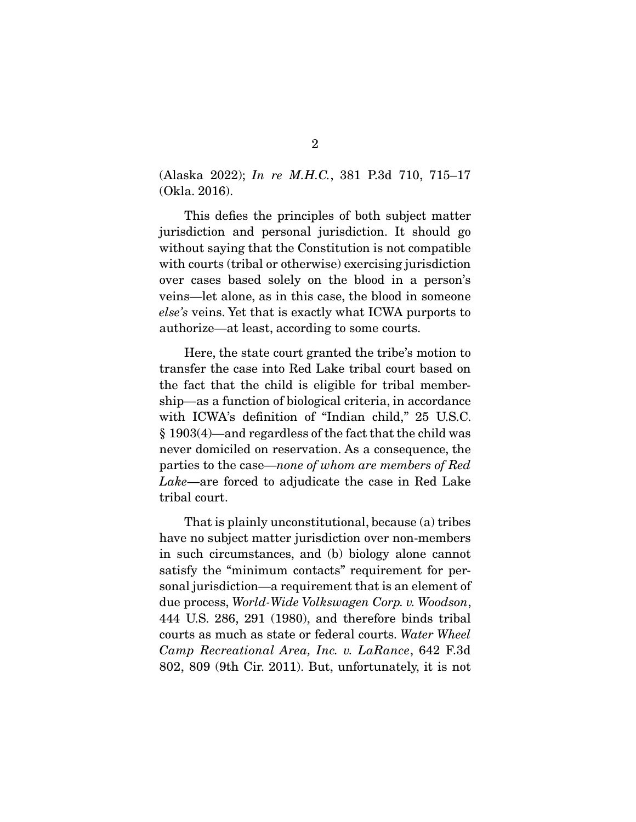(Alaska 2022); In re M.H.C., 381 P.3d 710, 715–17 (Okla. 2016).

 This defies the principles of both subject matter jurisdiction and personal jurisdiction. It should go without saying that the Constitution is not compatible with courts (tribal or otherwise) exercising jurisdiction over cases based solely on the blood in a person's veins—let alone, as in this case, the blood in someone else's veins. Yet that is exactly what ICWA purports to authorize—at least, according to some courts.

 Here, the state court granted the tribe's motion to transfer the case into Red Lake tribal court based on the fact that the child is eligible for tribal membership—as a function of biological criteria, in accordance with ICWA's definition of "Indian child," 25 U.S.C. § 1903(4)—and regardless of the fact that the child was never domiciled on reservation. As a consequence, the parties to the case—none of whom are members of Red Lake—are forced to adjudicate the case in Red Lake tribal court.

 That is plainly unconstitutional, because (a) tribes have no subject matter jurisdiction over non-members in such circumstances, and (b) biology alone cannot satisfy the "minimum contacts" requirement for personal jurisdiction—a requirement that is an element of due process, World-Wide Volkswagen Corp. v. Woodson, 444 U.S. 286, 291 (1980), and therefore binds tribal courts as much as state or federal courts. Water Wheel Camp Recreational Area, Inc. v. LaRance, 642 F.3d 802, 809 (9th Cir. 2011). But, unfortunately, it is not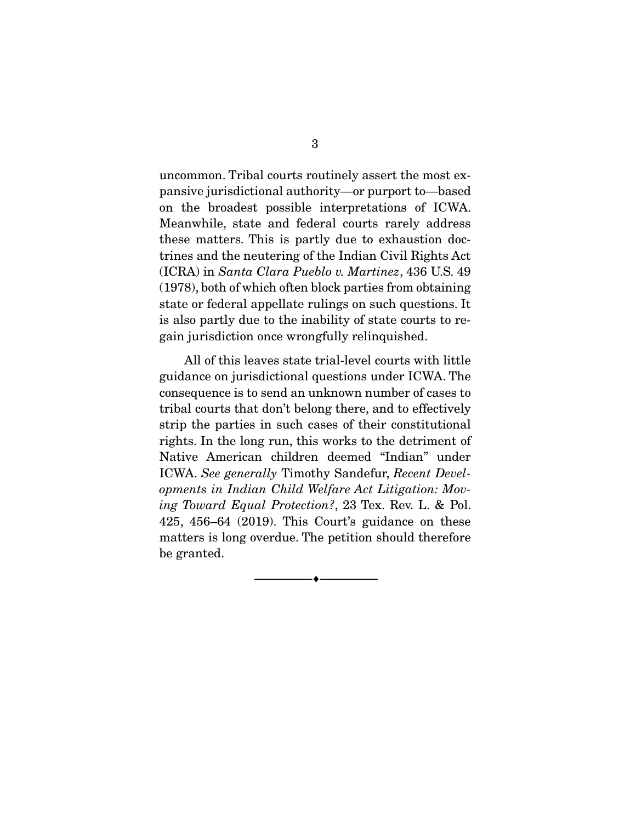uncommon. Tribal courts routinely assert the most expansive jurisdictional authority—or purport to—based on the broadest possible interpretations of ICWA. Meanwhile, state and federal courts rarely address these matters. This is partly due to exhaustion doctrines and the neutering of the Indian Civil Rights Act (ICRA) in Santa Clara Pueblo v. Martinez, 436 U.S. 49 (1978), both of which often block parties from obtaining state or federal appellate rulings on such questions. It is also partly due to the inability of state courts to regain jurisdiction once wrongfully relinquished.

 All of this leaves state trial-level courts with little guidance on jurisdictional questions under ICWA. The consequence is to send an unknown number of cases to tribal courts that don't belong there, and to effectively strip the parties in such cases of their constitutional rights. In the long run, this works to the detriment of Native American children deemed "Indian" under ICWA. See generally Timothy Sandefur, Recent Developments in Indian Child Welfare Act Litigation: Moving Toward Equal Protection?, 23 Tex. Rev. L. & Pol. 425, 456–64 (2019). This Court's guidance on these matters is long overdue. The petition should therefore be granted.

--------------------------------- ♦ ---------------------------------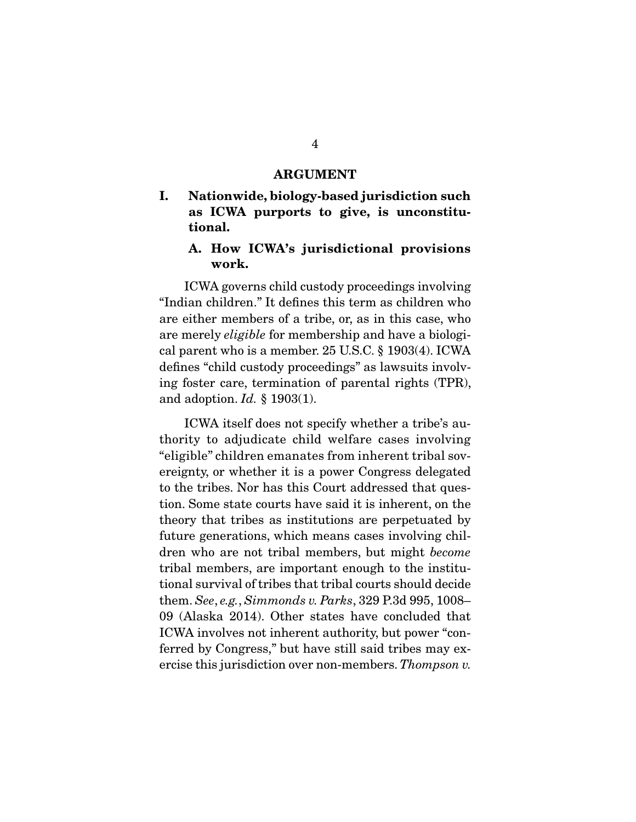#### **ARGUMENT**

#### **I. Nationwide, biology-based jurisdiction such as ICWA purports to give, is unconstitutional.**

#### **A. How ICWA's jurisdictional provisions work.**

 ICWA governs child custody proceedings involving "Indian children." It defines this term as children who are either members of a tribe, or, as in this case, who are merely eligible for membership and have a biological parent who is a member. 25 U.S.C. § 1903(4). ICWA defines "child custody proceedings" as lawsuits involving foster care, termination of parental rights (TPR), and adoption.  $Id. \S$  1903(1).

 ICWA itself does not specify whether a tribe's authority to adjudicate child welfare cases involving "eligible" children emanates from inherent tribal sovereignty, or whether it is a power Congress delegated to the tribes. Nor has this Court addressed that question. Some state courts have said it is inherent, on the theory that tribes as institutions are perpetuated by future generations, which means cases involving children who are not tribal members, but might become tribal members, are important enough to the institutional survival of tribes that tribal courts should decide them. See, e.g., Simmonds v. Parks, 329 P.3d 995, 1008– 09 (Alaska 2014). Other states have concluded that ICWA involves not inherent authority, but power "conferred by Congress," but have still said tribes may exercise this jurisdiction over non-members. Thompson v.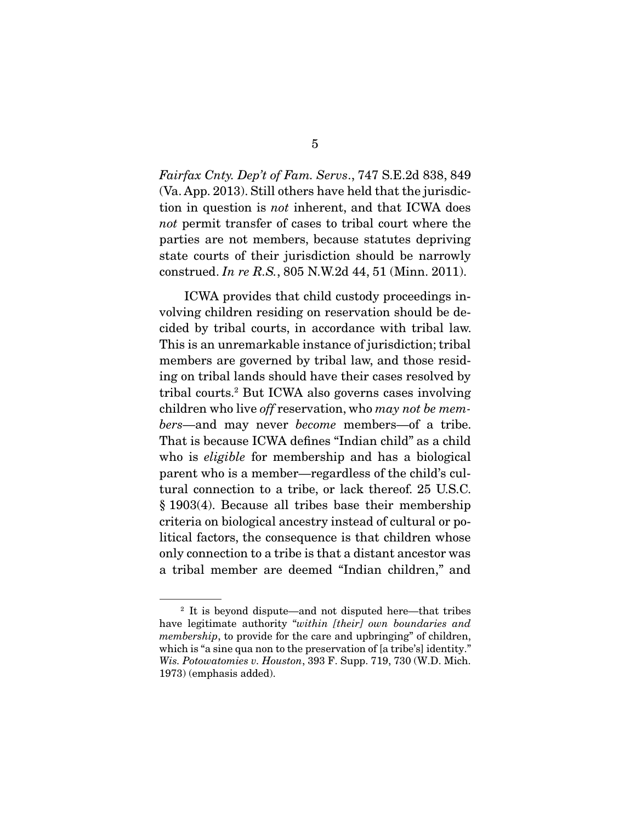Fairfax Cnty. Dep't of Fam. Servs., 747 S.E.2d 838, 849 (Va. App. 2013). Still others have held that the jurisdiction in question is not inherent, and that ICWA does not permit transfer of cases to tribal court where the parties are not members, because statutes depriving state courts of their jurisdiction should be narrowly construed. In re R.S., 805 N.W.2d 44, 51 (Minn. 2011).

 ICWA provides that child custody proceedings involving children residing on reservation should be decided by tribal courts, in accordance with tribal law. This is an unremarkable instance of jurisdiction; tribal members are governed by tribal law, and those residing on tribal lands should have their cases resolved by tribal courts.2 But ICWA also governs cases involving children who live *off* reservation, who *may not be mem*bers—and may never become members—of a tribe. That is because ICWA defines "Indian child" as a child who is *eligible* for membership and has a biological parent who is a member—regardless of the child's cultural connection to a tribe, or lack thereof. 25 U.S.C. § 1903(4). Because all tribes base their membership criteria on biological ancestry instead of cultural or political factors, the consequence is that children whose only connection to a tribe is that a distant ancestor was a tribal member are deemed "Indian children," and

<sup>&</sup>lt;sup>2</sup> It is beyond dispute—and not disputed here—that tribes have legitimate authority "within [their] own boundaries and membership, to provide for the care and upbringing" of children, which is "a sine qua non to the preservation of [a tribe's] identity." Wis. Potowatomies v. Houston, 393 F. Supp. 719, 730 (W.D. Mich. 1973) (emphasis added).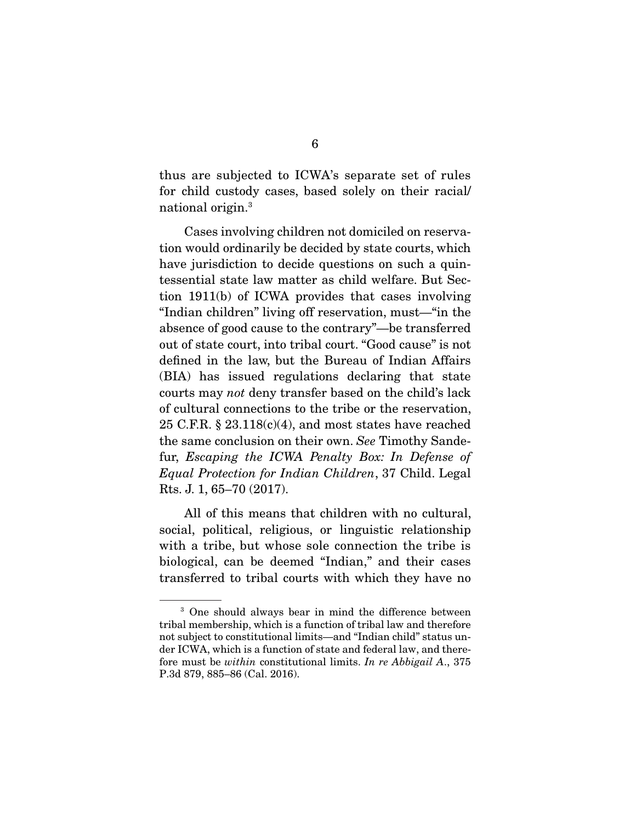thus are subjected to ICWA's separate set of rules for child custody cases, based solely on their racial/ national origin.3

 Cases involving children not domiciled on reservation would ordinarily be decided by state courts, which have jurisdiction to decide questions on such a quintessential state law matter as child welfare. But Section 1911(b) of ICWA provides that cases involving "Indian children" living off reservation, must—"in the absence of good cause to the contrary"—be transferred out of state court, into tribal court. "Good cause" is not defined in the law, but the Bureau of Indian Affairs (BIA) has issued regulations declaring that state courts may not deny transfer based on the child's lack of cultural connections to the tribe or the reservation, 25 C.F.R.  $\S 23.118(c)(4)$ , and most states have reached the same conclusion on their own. See Timothy Sandefur, Escaping the ICWA Penalty Box: In Defense of Equal Protection for Indian Children, 37 Child. Legal Rts. J. 1, 65–70 (2017).

 All of this means that children with no cultural, social, political, religious, or linguistic relationship with a tribe, but whose sole connection the tribe is biological, can be deemed "Indian," and their cases transferred to tribal courts with which they have no

<sup>3</sup> One should always bear in mind the difference between tribal membership, which is a function of tribal law and therefore not subject to constitutional limits—and "Indian child" status under ICWA, which is a function of state and federal law, and therefore must be within constitutional limits. In re Abbigail A., 375 P.3d 879, 885–86 (Cal. 2016).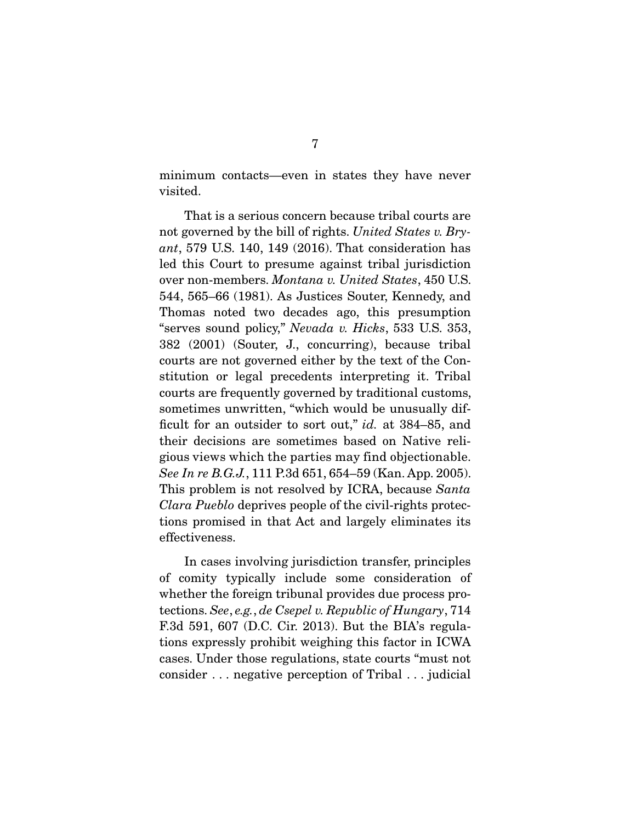minimum contacts—even in states they have never visited.

 That is a serious concern because tribal courts are not governed by the bill of rights. United States v. Bryant, 579 U.S. 140, 149 (2016). That consideration has led this Court to presume against tribal jurisdiction over non-members. Montana v. United States, 450 U.S. 544, 565–66 (1981). As Justices Souter, Kennedy, and Thomas noted two decades ago, this presumption "serves sound policy," Nevada v. Hicks, 533 U.S. 353, 382 (2001) (Souter, J., concurring), because tribal courts are not governed either by the text of the Constitution or legal precedents interpreting it. Tribal courts are frequently governed by traditional customs, sometimes unwritten, "which would be unusually difficult for an outsider to sort out," id. at 384–85, and their decisions are sometimes based on Native religious views which the parties may find objectionable. See In re B.G.J., 111 P.3d 651, 654–59 (Kan. App. 2005). This problem is not resolved by ICRA, because Santa Clara Pueblo deprives people of the civil-rights protections promised in that Act and largely eliminates its effectiveness.

 In cases involving jurisdiction transfer, principles of comity typically include some consideration of whether the foreign tribunal provides due process protections. See, e.g., de Csepel v. Republic of Hungary, 714 F.3d 591, 607 (D.C. Cir. 2013). But the BIA's regulations expressly prohibit weighing this factor in ICWA cases. Under those regulations, state courts "must not consider . . . negative perception of Tribal . . . judicial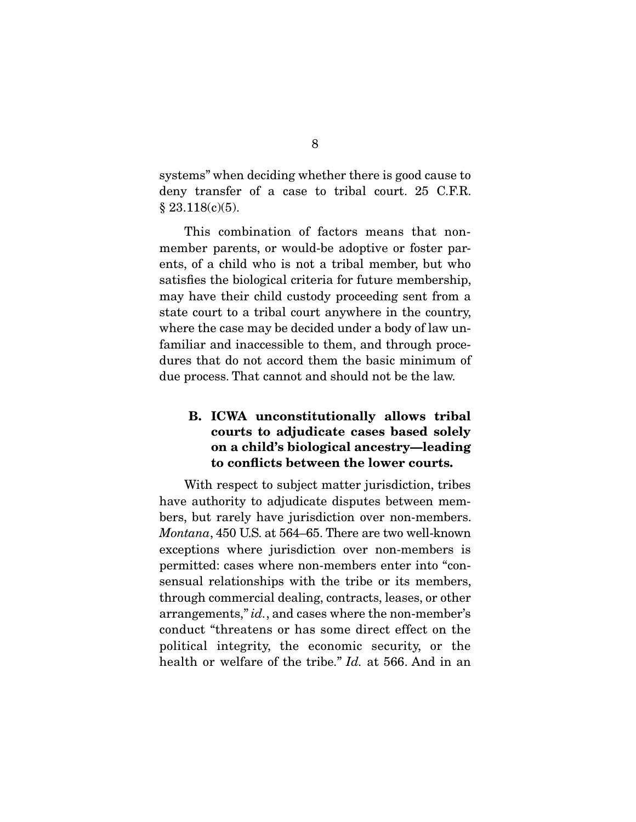systems" when deciding whether there is good cause to deny transfer of a case to tribal court. 25 C.F.R. § 23.118(c)(5).

 This combination of factors means that nonmember parents, or would-be adoptive or foster parents, of a child who is not a tribal member, but who satisfies the biological criteria for future membership, may have their child custody proceeding sent from a state court to a tribal court anywhere in the country, where the case may be decided under a body of law unfamiliar and inaccessible to them, and through procedures that do not accord them the basic minimum of due process. That cannot and should not be the law.

### **B. ICWA unconstitutionally allows tribal courts to adjudicate cases based solely on a child's biological ancestry—leading to conflicts between the lower courts.**

 With respect to subject matter jurisdiction, tribes have authority to adjudicate disputes between members, but rarely have jurisdiction over non-members. Montana, 450 U.S. at 564–65. There are two well-known exceptions where jurisdiction over non-members is permitted: cases where non-members enter into "consensual relationships with the tribe or its members, through commercial dealing, contracts, leases, or other arrangements," id., and cases where the non-member's conduct "threatens or has some direct effect on the political integrity, the economic security, or the health or welfare of the tribe." Id. at 566. And in an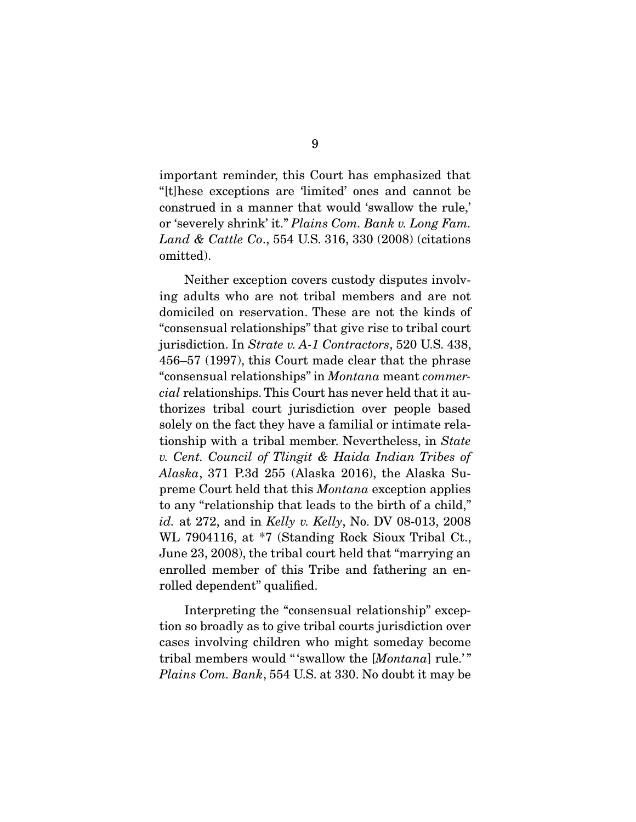important reminder, this Court has emphasized that "[t]hese exceptions are 'limited' ones and cannot be construed in a manner that would 'swallow the rule,' or 'severely shrink' it." Plains Com. Bank v. Long Fam. Land & Cattle Co., 554 U.S. 316, 330 (2008) (citations omitted).

 Neither exception covers custody disputes involving adults who are not tribal members and are not domiciled on reservation. These are not the kinds of "consensual relationships" that give rise to tribal court jurisdiction. In Strate v. A-1 Contractors, 520 U.S. 438, 456–57 (1997), this Court made clear that the phrase "consensual relationships" in Montana meant commercial relationships. This Court has never held that it authorizes tribal court jurisdiction over people based solely on the fact they have a familial or intimate relationship with a tribal member. Nevertheless, in State v. Cent. Council of Tlingit & Haida Indian Tribes of Alaska, 371 P.3d 255 (Alaska 2016), the Alaska Supreme Court held that this Montana exception applies to any "relationship that leads to the birth of a child," id. at 272, and in Kelly v. Kelly, No. DV 08-013, 2008 WL 7904116, at \*7 (Standing Rock Sioux Tribal Ct., June 23, 2008), the tribal court held that "marrying an enrolled member of this Tribe and fathering an enrolled dependent" qualified.

 Interpreting the "consensual relationship" exception so broadly as to give tribal courts jurisdiction over cases involving children who might someday become tribal members would "'swallow the [Montana] rule.'" Plains Com. Bank, 554 U.S. at 330. No doubt it may be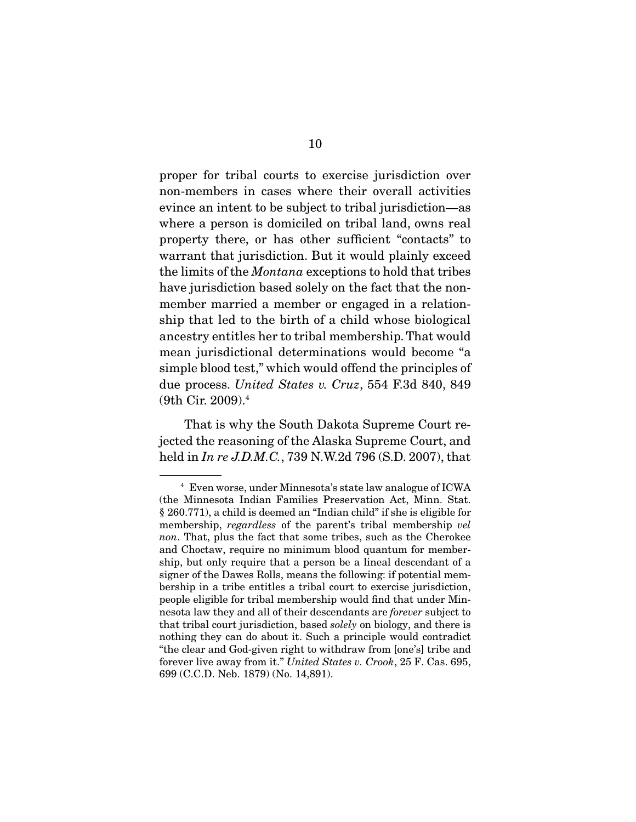proper for tribal courts to exercise jurisdiction over non-members in cases where their overall activities evince an intent to be subject to tribal jurisdiction—as where a person is domiciled on tribal land, owns real property there, or has other sufficient "contacts" to warrant that jurisdiction. But it would plainly exceed the limits of the Montana exceptions to hold that tribes have jurisdiction based solely on the fact that the nonmember married a member or engaged in a relationship that led to the birth of a child whose biological ancestry entitles her to tribal membership. That would mean jurisdictional determinations would become "a simple blood test," which would offend the principles of due process. United States v. Cruz, 554 F.3d 840, 849 (9th Cir. 2009).4

 That is why the South Dakota Supreme Court rejected the reasoning of the Alaska Supreme Court, and held in In re J.D.M.C., 739 N.W.2d 796 (S.D. 2007), that

<sup>4</sup> Even worse, under Minnesota's state law analogue of ICWA (the Minnesota Indian Families Preservation Act, Minn. Stat. § 260.771), a child is deemed an "Indian child" if she is eligible for membership, *regardless* of the parent's tribal membership vel non. That, plus the fact that some tribes, such as the Cherokee and Choctaw, require no minimum blood quantum for membership, but only require that a person be a lineal descendant of a signer of the Dawes Rolls, means the following: if potential membership in a tribe entitles a tribal court to exercise jurisdiction, people eligible for tribal membership would find that under Minnesota law they and all of their descendants are forever subject to that tribal court jurisdiction, based solely on biology, and there is nothing they can do about it. Such a principle would contradict "the clear and God-given right to withdraw from [one's] tribe and forever live away from it." United States v. Crook, 25 F. Cas. 695, 699 (C.C.D. Neb. 1879) (No. 14,891).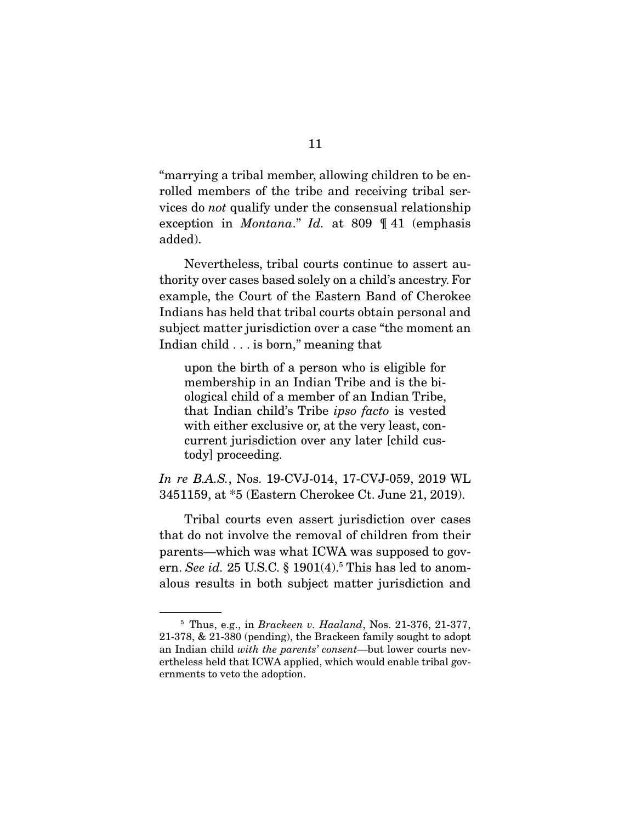"marrying a tribal member, allowing children to be enrolled members of the tribe and receiving tribal services do not qualify under the consensual relationship exception in Montana." Id. at 809 ¶ 41 (emphasis added).

 Nevertheless, tribal courts continue to assert authority over cases based solely on a child's ancestry. For example, the Court of the Eastern Band of Cherokee Indians has held that tribal courts obtain personal and subject matter jurisdiction over a case "the moment an Indian child . . . is born," meaning that

upon the birth of a person who is eligible for membership in an Indian Tribe and is the biological child of a member of an Indian Tribe, that Indian child's Tribe ipso facto is vested with either exclusive or, at the very least, concurrent jurisdiction over any later [child custody] proceeding.

In re B.A.S., Nos. 19-CVJ-014, 17-CVJ-059, 2019 WL 3451159, at \*5 (Eastern Cherokee Ct. June 21, 2019).

 Tribal courts even assert jurisdiction over cases that do not involve the removal of children from their parents—which was what ICWA was supposed to govern. See id. 25 U.S.C. § 1901(4).<sup>5</sup> This has led to anomalous results in both subject matter jurisdiction and

 $5$  Thus, e.g., in *Brackeen v. Haaland*, Nos. 21-376, 21-377, 21-378, & 21-380 (pending), the Brackeen family sought to adopt an Indian child with the parents' consent—but lower courts nevertheless held that ICWA applied, which would enable tribal governments to veto the adoption.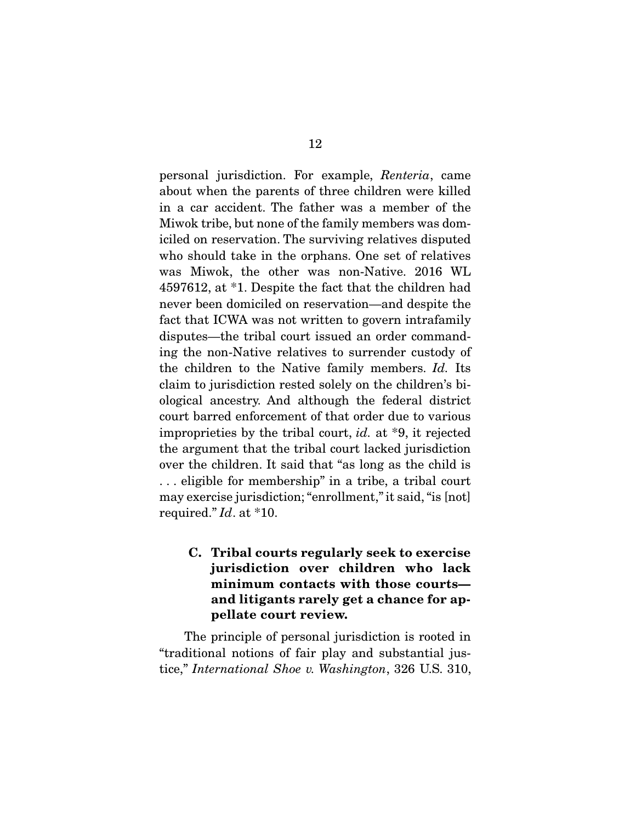personal jurisdiction. For example, Renteria, came about when the parents of three children were killed in a car accident. The father was a member of the Miwok tribe, but none of the family members was domiciled on reservation. The surviving relatives disputed who should take in the orphans. One set of relatives was Miwok, the other was non-Native. 2016 WL 4597612, at \*1. Despite the fact that the children had never been domiciled on reservation—and despite the fact that ICWA was not written to govern intrafamily disputes—the tribal court issued an order commanding the non-Native relatives to surrender custody of the children to the Native family members. Id. Its claim to jurisdiction rested solely on the children's biological ancestry. And although the federal district court barred enforcement of that order due to various improprieties by the tribal court, id. at \*9, it rejected the argument that the tribal court lacked jurisdiction over the children. It said that "as long as the child is . . . eligible for membership" in a tribe, a tribal court may exercise jurisdiction; "enrollment," it said, "is [not] required." Id. at \*10.

**C. Tribal courts regularly seek to exercise jurisdiction over children who lack minimum contacts with those courts and litigants rarely get a chance for appellate court review.** 

 The principle of personal jurisdiction is rooted in "traditional notions of fair play and substantial justice," International Shoe v. Washington, 326 U.S. 310,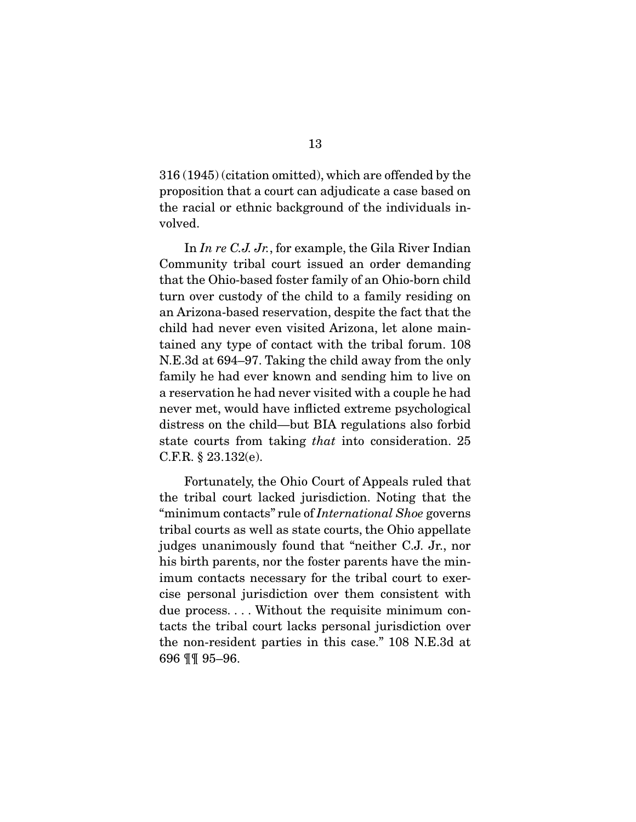316 (1945) (citation omitted), which are offended by the proposition that a court can adjudicate a case based on the racial or ethnic background of the individuals involved.

In In re C.J. Jr., for example, the Gila River Indian Community tribal court issued an order demanding that the Ohio-based foster family of an Ohio-born child turn over custody of the child to a family residing on an Arizona-based reservation, despite the fact that the child had never even visited Arizona, let alone maintained any type of contact with the tribal forum. 108 N.E.3d at 694–97. Taking the child away from the only family he had ever known and sending him to live on a reservation he had never visited with a couple he had never met, would have inflicted extreme psychological distress on the child—but BIA regulations also forbid state courts from taking that into consideration. 25 C.F.R. § 23.132(e).

 Fortunately, the Ohio Court of Appeals ruled that the tribal court lacked jurisdiction. Noting that the "minimum contacts" rule of *International Shoe* governs tribal courts as well as state courts, the Ohio appellate judges unanimously found that "neither C.J. Jr., nor his birth parents, nor the foster parents have the minimum contacts necessary for the tribal court to exercise personal jurisdiction over them consistent with due process. . . . Without the requisite minimum contacts the tribal court lacks personal jurisdiction over the non-resident parties in this case." 108 N.E.3d at 696 ¶¶ 95–96.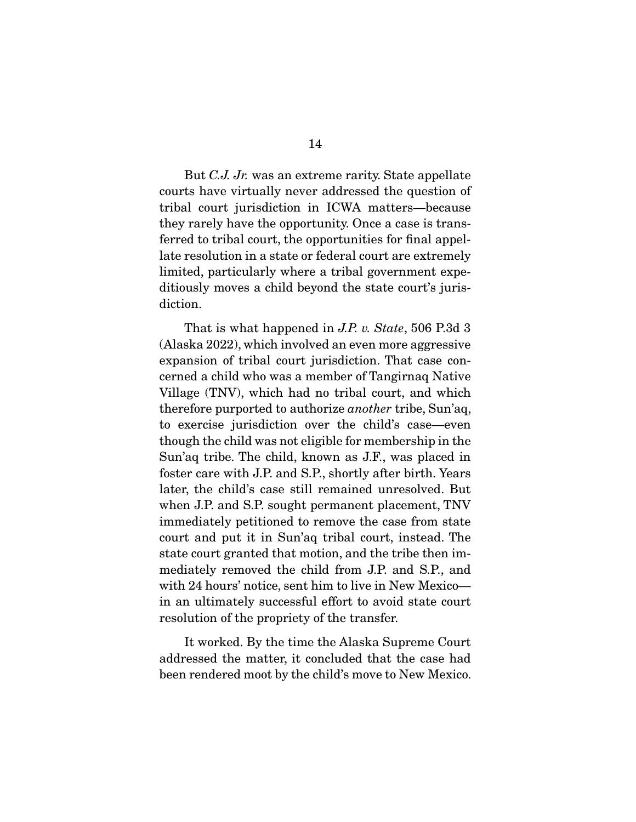But C.J. Jr. was an extreme rarity. State appellate courts have virtually never addressed the question of tribal court jurisdiction in ICWA matters—because they rarely have the opportunity. Once a case is transferred to tribal court, the opportunities for final appellate resolution in a state or federal court are extremely limited, particularly where a tribal government expeditiously moves a child beyond the state court's jurisdiction.

That is what happened in J.P. v. State, 506 P.3d 3 (Alaska 2022), which involved an even more aggressive expansion of tribal court jurisdiction. That case concerned a child who was a member of Tangirnaq Native Village (TNV), which had no tribal court, and which therefore purported to authorize another tribe, Sun'aq, to exercise jurisdiction over the child's case—even though the child was not eligible for membership in the Sun'aq tribe. The child, known as J.F., was placed in foster care with J.P. and S.P., shortly after birth. Years later, the child's case still remained unresolved. But when J.P. and S.P. sought permanent placement, TNV immediately petitioned to remove the case from state court and put it in Sun'aq tribal court, instead. The state court granted that motion, and the tribe then immediately removed the child from J.P. and S.P., and with 24 hours' notice, sent him to live in New Mexico in an ultimately successful effort to avoid state court resolution of the propriety of the transfer.

 It worked. By the time the Alaska Supreme Court addressed the matter, it concluded that the case had been rendered moot by the child's move to New Mexico.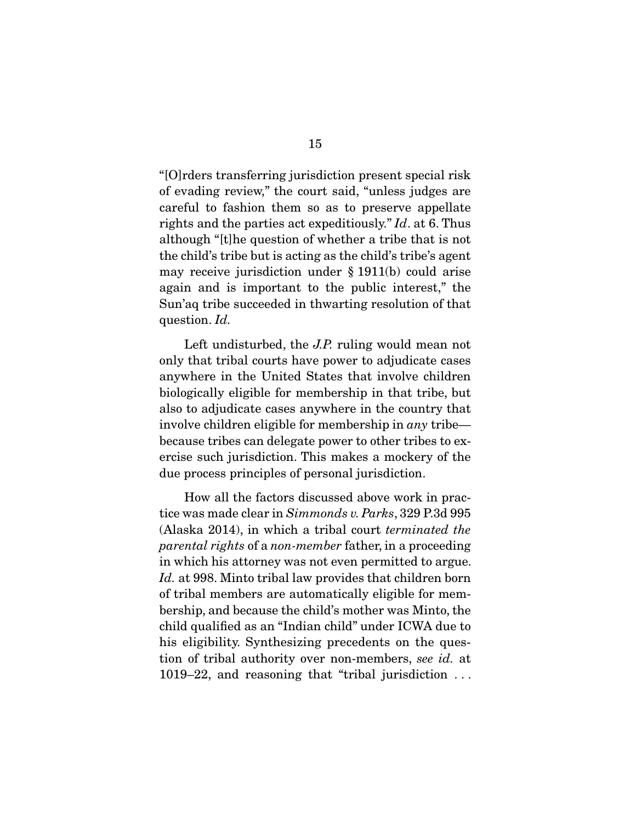"[O]rders transferring jurisdiction present special risk of evading review," the court said, "unless judges are careful to fashion them so as to preserve appellate rights and the parties act expeditiously." Id. at 6. Thus although "[t]he question of whether a tribe that is not the child's tribe but is acting as the child's tribe's agent may receive jurisdiction under § 1911(b) could arise again and is important to the public interest," the Sun'aq tribe succeeded in thwarting resolution of that question. *Id.* 

Left undisturbed, the *J.P.* ruling would mean not only that tribal courts have power to adjudicate cases anywhere in the United States that involve children biologically eligible for membership in that tribe, but also to adjudicate cases anywhere in the country that involve children eligible for membership in any tribe because tribes can delegate power to other tribes to exercise such jurisdiction. This makes a mockery of the due process principles of personal jurisdiction.

 How all the factors discussed above work in practice was made clear in Simmonds v. Parks, 329 P.3d 995 (Alaska 2014), in which a tribal court terminated the parental rights of a non-member father, in a proceeding in which his attorney was not even permitted to argue. Id. at 998. Minto tribal law provides that children born of tribal members are automatically eligible for membership, and because the child's mother was Minto, the child qualified as an "Indian child" under ICWA due to his eligibility. Synthesizing precedents on the question of tribal authority over non-members, see id. at 1019–22, and reasoning that "tribal jurisdiction . . .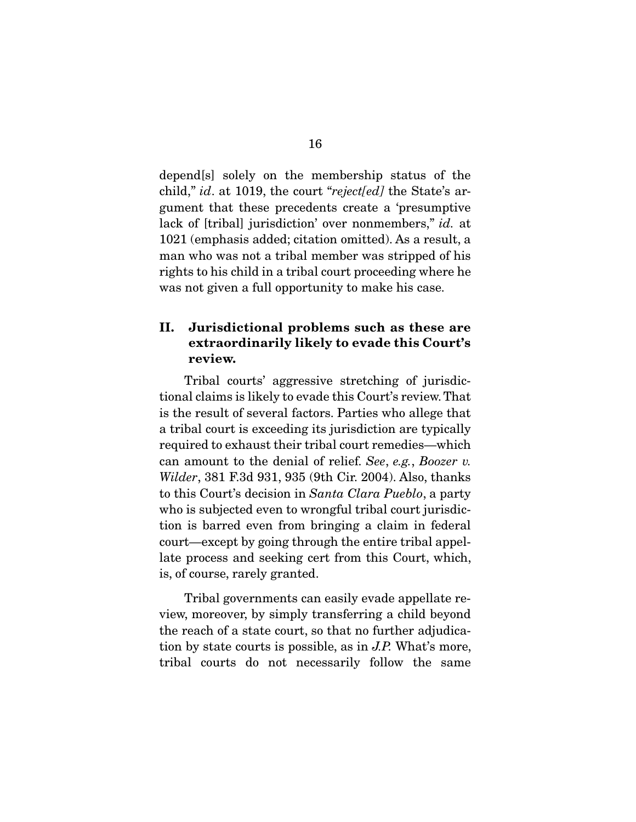depend[s] solely on the membership status of the child," id. at 1019, the court "reject[ed] the State's argument that these precedents create a 'presumptive lack of [tribal] jurisdiction' over nonmembers," id. at 1021 (emphasis added; citation omitted). As a result, a man who was not a tribal member was stripped of his rights to his child in a tribal court proceeding where he was not given a full opportunity to make his case.

### **II. Jurisdictional problems such as these are extraordinarily likely to evade this Court's review.**

 Tribal courts' aggressive stretching of jurisdictional claims is likely to evade this Court's review. That is the result of several factors. Parties who allege that a tribal court is exceeding its jurisdiction are typically required to exhaust their tribal court remedies—which can amount to the denial of relief. See, e.g., Boozer v. Wilder, 381 F.3d 931, 935 (9th Cir. 2004). Also, thanks to this Court's decision in Santa Clara Pueblo, a party who is subjected even to wrongful tribal court jurisdiction is barred even from bringing a claim in federal court—except by going through the entire tribal appellate process and seeking cert from this Court, which, is, of course, rarely granted.

 Tribal governments can easily evade appellate review, moreover, by simply transferring a child beyond the reach of a state court, so that no further adjudication by state courts is possible, as in J.P. What's more, tribal courts do not necessarily follow the same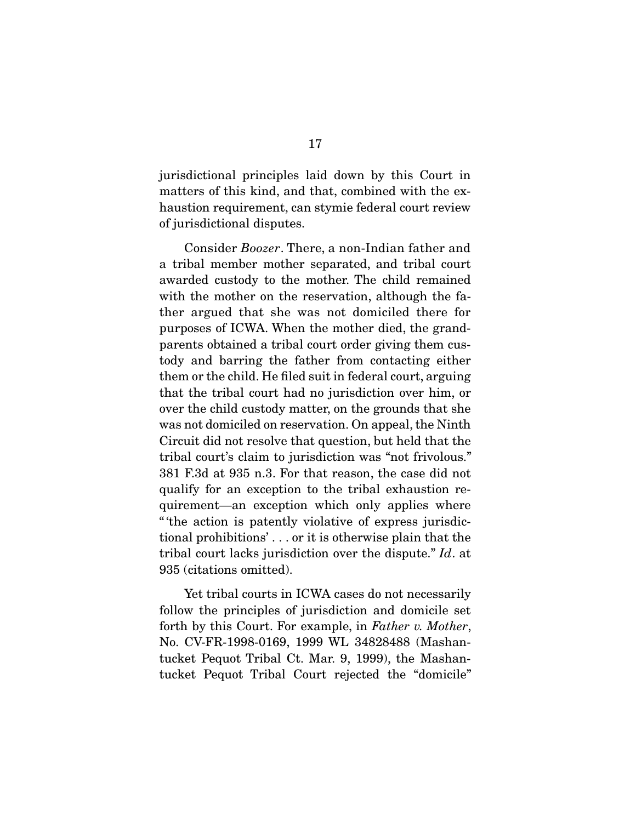jurisdictional principles laid down by this Court in matters of this kind, and that, combined with the exhaustion requirement, can stymie federal court review of jurisdictional disputes.

 Consider Boozer. There, a non-Indian father and a tribal member mother separated, and tribal court awarded custody to the mother. The child remained with the mother on the reservation, although the father argued that she was not domiciled there for purposes of ICWA. When the mother died, the grandparents obtained a tribal court order giving them custody and barring the father from contacting either them or the child. He filed suit in federal court, arguing that the tribal court had no jurisdiction over him, or over the child custody matter, on the grounds that she was not domiciled on reservation. On appeal, the Ninth Circuit did not resolve that question, but held that the tribal court's claim to jurisdiction was "not frivolous." 381 F.3d at 935 n.3. For that reason, the case did not qualify for an exception to the tribal exhaustion requirement—an exception which only applies where " 'the action is patently violative of express jurisdictional prohibitions' . . . or it is otherwise plain that the tribal court lacks jurisdiction over the dispute." Id. at 935 (citations omitted).

 Yet tribal courts in ICWA cases do not necessarily follow the principles of jurisdiction and domicile set forth by this Court. For example, in Father v. Mother, No. CV-FR-1998-0169, 1999 WL 34828488 (Mashantucket Pequot Tribal Ct. Mar. 9, 1999), the Mashantucket Pequot Tribal Court rejected the "domicile"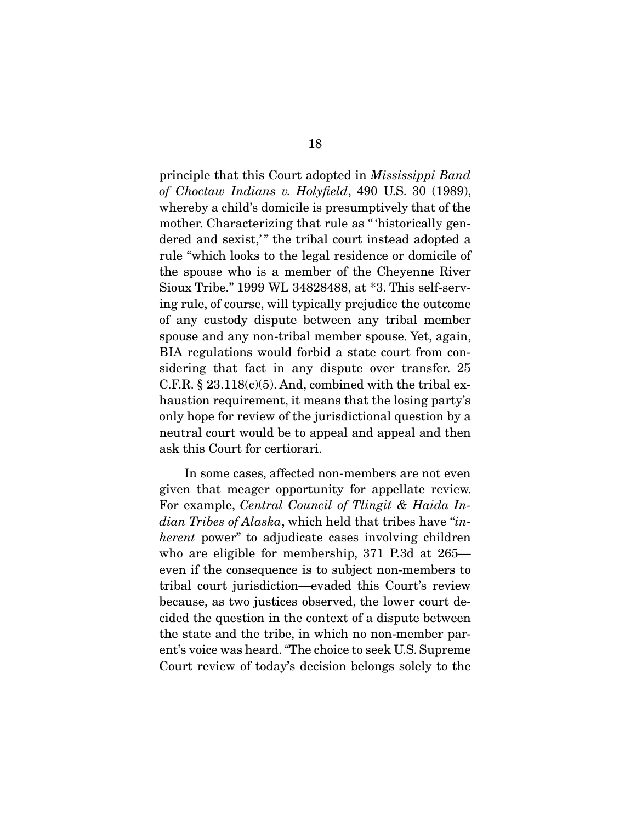principle that this Court adopted in Mississippi Band of Choctaw Indians v. Holyfield, 490 U.S. 30 (1989), whereby a child's domicile is presumptively that of the mother. Characterizing that rule as "historically gendered and sexist," the tribal court instead adopted a rule "which looks to the legal residence or domicile of the spouse who is a member of the Cheyenne River Sioux Tribe." 1999 WL 34828488, at \*3. This self-serving rule, of course, will typically prejudice the outcome of any custody dispute between any tribal member spouse and any non-tribal member spouse. Yet, again, BIA regulations would forbid a state court from considering that fact in any dispute over transfer. 25 C.F.R.  $\S 23.118(c)(5)$ . And, combined with the tribal exhaustion requirement, it means that the losing party's only hope for review of the jurisdictional question by a neutral court would be to appeal and appeal and then ask this Court for certiorari.

 In some cases, affected non-members are not even given that meager opportunity for appellate review. For example, Central Council of Tlingit & Haida Indian Tribes of Alaska, which held that tribes have "inherent power" to adjudicate cases involving children who are eligible for membership, 371 P.3d at 265 even if the consequence is to subject non-members to tribal court jurisdiction—evaded this Court's review because, as two justices observed, the lower court decided the question in the context of a dispute between the state and the tribe, in which no non-member parent's voice was heard. "The choice to seek U.S. Supreme Court review of today's decision belongs solely to the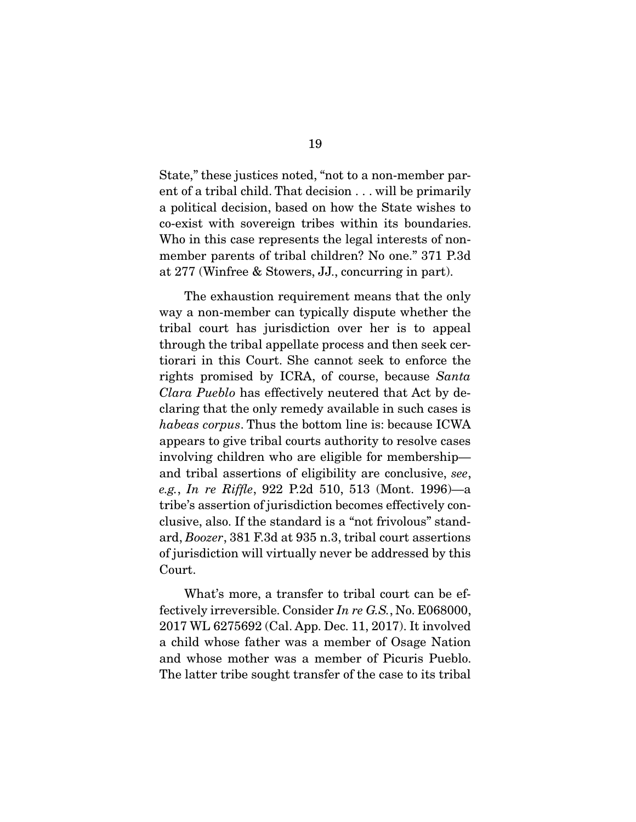State," these justices noted, "not to a non-member parent of a tribal child. That decision . . . will be primarily a political decision, based on how the State wishes to co-exist with sovereign tribes within its boundaries. Who in this case represents the legal interests of nonmember parents of tribal children? No one." 371 P.3d at 277 (Winfree & Stowers, JJ., concurring in part).

 The exhaustion requirement means that the only way a non-member can typically dispute whether the tribal court has jurisdiction over her is to appeal through the tribal appellate process and then seek certiorari in this Court. She cannot seek to enforce the rights promised by ICRA, of course, because Santa Clara Pueblo has effectively neutered that Act by declaring that the only remedy available in such cases is habeas corpus. Thus the bottom line is: because ICWA appears to give tribal courts authority to resolve cases involving children who are eligible for membership and tribal assertions of eligibility are conclusive, see, e.g., In re Riffle, 922 P.2d 510, 513 (Mont. 1996)—a tribe's assertion of jurisdiction becomes effectively conclusive, also. If the standard is a "not frivolous" standard, Boozer, 381 F.3d at 935 n.3, tribal court assertions of jurisdiction will virtually never be addressed by this Court.

 What's more, a transfer to tribal court can be effectively irreversible. Consider In re G.S., No. E068000, 2017 WL 6275692 (Cal. App. Dec. 11, 2017). It involved a child whose father was a member of Osage Nation and whose mother was a member of Picuris Pueblo. The latter tribe sought transfer of the case to its tribal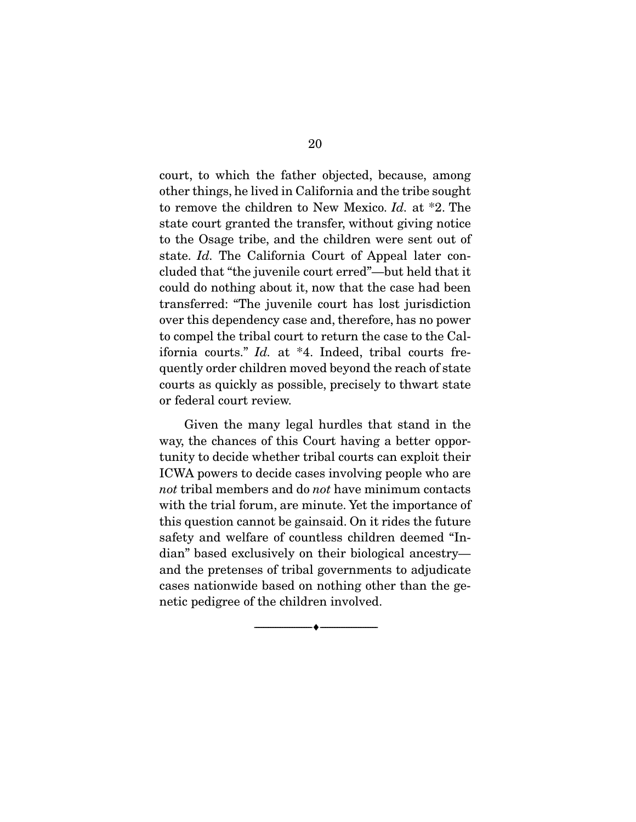court, to which the father objected, because, among other things, he lived in California and the tribe sought to remove the children to New Mexico. Id. at \*2. The state court granted the transfer, without giving notice to the Osage tribe, and the children were sent out of state. Id. The California Court of Appeal later concluded that "the juvenile court erred"—but held that it could do nothing about it, now that the case had been transferred: "The juvenile court has lost jurisdiction over this dependency case and, therefore, has no power to compel the tribal court to return the case to the California courts." Id. at \*4. Indeed, tribal courts frequently order children moved beyond the reach of state courts as quickly as possible, precisely to thwart state or federal court review.

 Given the many legal hurdles that stand in the way, the chances of this Court having a better opportunity to decide whether tribal courts can exploit their ICWA powers to decide cases involving people who are not tribal members and do not have minimum contacts with the trial forum, are minute. Yet the importance of this question cannot be gainsaid. On it rides the future safety and welfare of countless children deemed "Indian" based exclusively on their biological ancestry and the pretenses of tribal governments to adjudicate cases nationwide based on nothing other than the genetic pedigree of the children involved.

--------------------------------- ♦ ---------------------------------